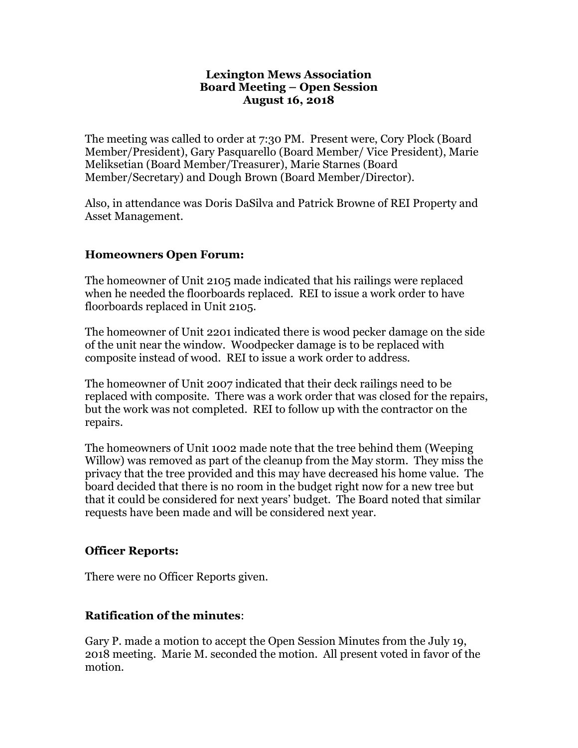#### **Lexington Mews Association Board Meeting – Open Session August 16, 2018**

The meeting was called to order at 7:30 PM. Present were, Cory Plock (Board Member/President), Gary Pasquarello (Board Member/ Vice President), Marie Meliksetian (Board Member/Treasurer), Marie Starnes (Board Member/Secretary) and Dough Brown (Board Member/Director).

Also, in attendance was Doris DaSilva and Patrick Browne of REI Property and Asset Management.

### **Homeowners Open Forum:**

The homeowner of Unit 2105 made indicated that his railings were replaced when he needed the floorboards replaced. REI to issue a work order to have floorboards replaced in Unit 2105.

The homeowner of Unit 2201 indicated there is wood pecker damage on the side of the unit near the window. Woodpecker damage is to be replaced with composite instead of wood. REI to issue a work order to address.

The homeowner of Unit 2007 indicated that their deck railings need to be replaced with composite. There was a work order that was closed for the repairs, but the work was not completed. REI to follow up with the contractor on the repairs.

The homeowners of Unit 1002 made note that the tree behind them (Weeping Willow) was removed as part of the cleanup from the May storm. They miss the privacy that the tree provided and this may have decreased his home value. The board decided that there is no room in the budget right now for a new tree but that it could be considered for next years' budget. The Board noted that similar requests have been made and will be considered next year.

#### **Officer Reports:**

There were no Officer Reports given.

## **Ratification of the minutes**:

Gary P. made a motion to accept the Open Session Minutes from the July 19, 2018 meeting. Marie M. seconded the motion. All present voted in favor of the motion.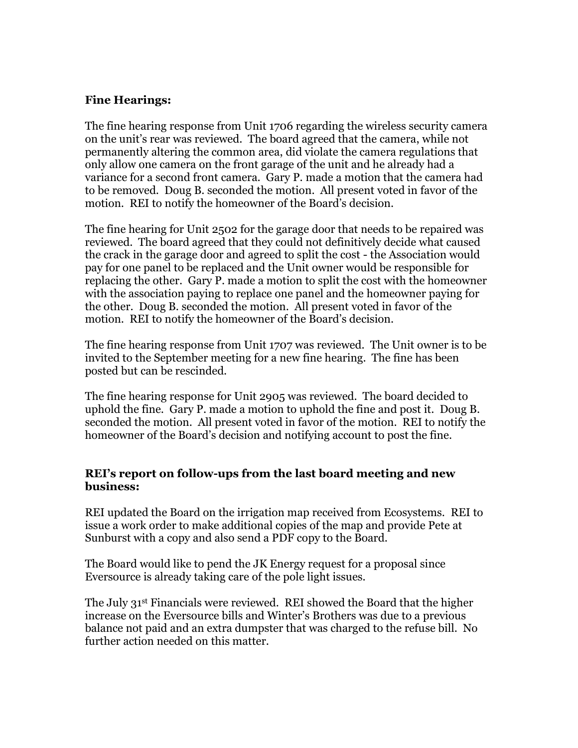### **Fine Hearings:**

The fine hearing response from Unit 1706 regarding the wireless security camera on the unit's rear was reviewed. The board agreed that the camera, while not permanently altering the common area, did violate the camera regulations that only allow one camera on the front garage of the unit and he already had a variance for a second front camera. Gary P. made a motion that the camera had to be removed. Doug B. seconded the motion. All present voted in favor of the motion. REI to notify the homeowner of the Board's decision.

The fine hearing for Unit 2502 for the garage door that needs to be repaired was reviewed. The board agreed that they could not definitively decide what caused the crack in the garage door and agreed to split the cost - the Association would pay for one panel to be replaced and the Unit owner would be responsible for replacing the other. Gary P. made a motion to split the cost with the homeowner with the association paying to replace one panel and the homeowner paying for the other. Doug B. seconded the motion. All present voted in favor of the motion. REI to notify the homeowner of the Board's decision.

The fine hearing response from Unit 1707 was reviewed. The Unit owner is to be invited to the September meeting for a new fine hearing. The fine has been posted but can be rescinded.

The fine hearing response for Unit 2905 was reviewed. The board decided to uphold the fine. Gary P. made a motion to uphold the fine and post it. Doug B. seconded the motion. All present voted in favor of the motion. REI to notify the homeowner of the Board's decision and notifying account to post the fine.

### **REI's report on follow-ups from the last board meeting and new business:**

REI updated the Board on the irrigation map received from Ecosystems. REI to issue a work order to make additional copies of the map and provide Pete at Sunburst with a copy and also send a PDF copy to the Board.

The Board would like to pend the JK Energy request for a proposal since Eversource is already taking care of the pole light issues.

The July 31st Financials were reviewed. REI showed the Board that the higher increase on the Eversource bills and Winter's Brothers was due to a previous balance not paid and an extra dumpster that was charged to the refuse bill. No further action needed on this matter.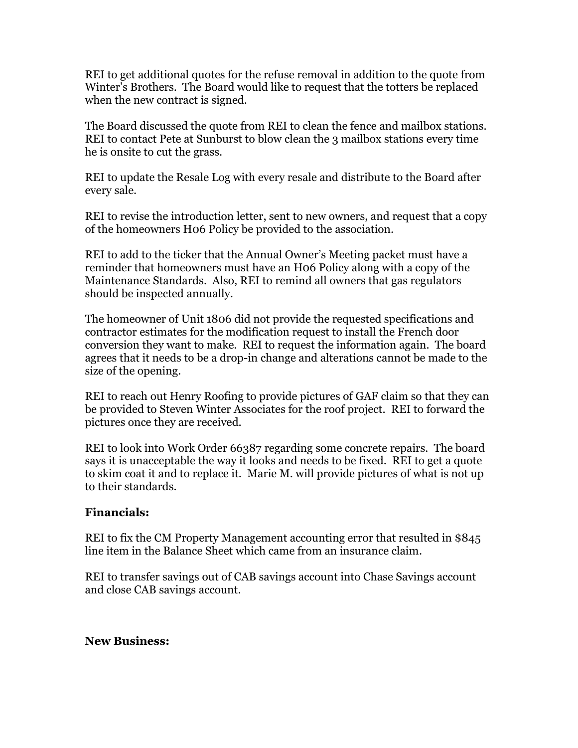REI to get additional quotes for the refuse removal in addition to the quote from Winter's Brothers. The Board would like to request that the totters be replaced when the new contract is signed.

The Board discussed the quote from REI to clean the fence and mailbox stations. REI to contact Pete at Sunburst to blow clean the 3 mailbox stations every time he is onsite to cut the grass.

REI to update the Resale Log with every resale and distribute to the Board after every sale.

REI to revise the introduction letter, sent to new owners, and request that a copy of the homeowners H06 Policy be provided to the association.

REI to add to the ticker that the Annual Owner's Meeting packet must have a reminder that homeowners must have an H06 Policy along with a copy of the Maintenance Standards. Also, REI to remind all owners that gas regulators should be inspected annually.

The homeowner of Unit 1806 did not provide the requested specifications and contractor estimates for the modification request to install the French door conversion they want to make. REI to request the information again. The board agrees that it needs to be a drop-in change and alterations cannot be made to the size of the opening.

REI to reach out Henry Roofing to provide pictures of GAF claim so that they can be provided to Steven Winter Associates for the roof project. REI to forward the pictures once they are received.

REI to look into Work Order 66387 regarding some concrete repairs. The board says it is unacceptable the way it looks and needs to be fixed. REI to get a quote to skim coat it and to replace it. Marie M. will provide pictures of what is not up to their standards.

## **Financials:**

REI to fix the CM Property Management accounting error that resulted in \$845 line item in the Balance Sheet which came from an insurance claim.

REI to transfer savings out of CAB savings account into Chase Savings account and close CAB savings account.

#### **New Business:**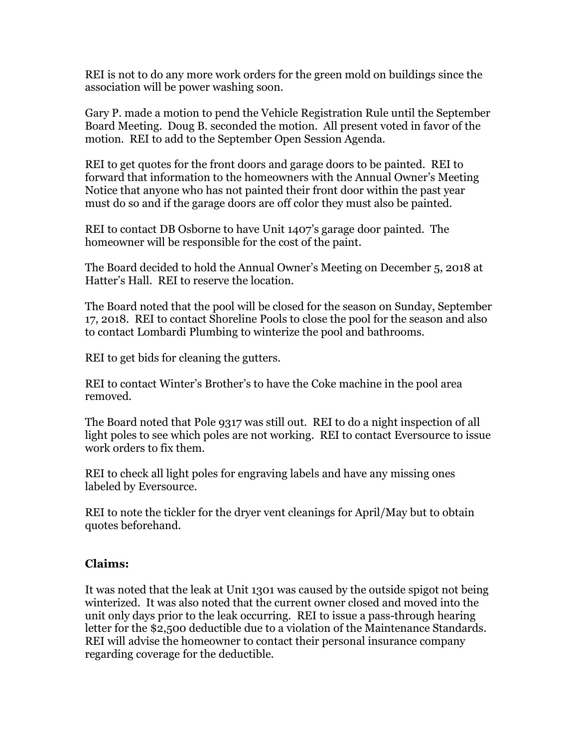REI is not to do any more work orders for the green mold on buildings since the association will be power washing soon.

Gary P. made a motion to pend the Vehicle Registration Rule until the September Board Meeting. Doug B. seconded the motion. All present voted in favor of the motion. REI to add to the September Open Session Agenda.

REI to get quotes for the front doors and garage doors to be painted. REI to forward that information to the homeowners with the Annual Owner's Meeting Notice that anyone who has not painted their front door within the past year must do so and if the garage doors are off color they must also be painted.

REI to contact DB Osborne to have Unit 1407's garage door painted. The homeowner will be responsible for the cost of the paint.

The Board decided to hold the Annual Owner's Meeting on December 5, 2018 at Hatter's Hall. REI to reserve the location.

The Board noted that the pool will be closed for the season on Sunday, September 17, 2018. REI to contact Shoreline Pools to close the pool for the season and also to contact Lombardi Plumbing to winterize the pool and bathrooms.

REI to get bids for cleaning the gutters.

REI to contact Winter's Brother's to have the Coke machine in the pool area removed.

The Board noted that Pole 9317 was still out. REI to do a night inspection of all light poles to see which poles are not working. REI to contact Eversource to issue work orders to fix them.

REI to check all light poles for engraving labels and have any missing ones labeled by Eversource.

REI to note the tickler for the dryer vent cleanings for April/May but to obtain quotes beforehand.

## **Claims:**

It was noted that the leak at Unit 1301 was caused by the outside spigot not being winterized. It was also noted that the current owner closed and moved into the unit only days prior to the leak occurring. REI to issue a pass-through hearing letter for the \$2,500 deductible due to a violation of the Maintenance Standards. REI will advise the homeowner to contact their personal insurance company regarding coverage for the deductible.